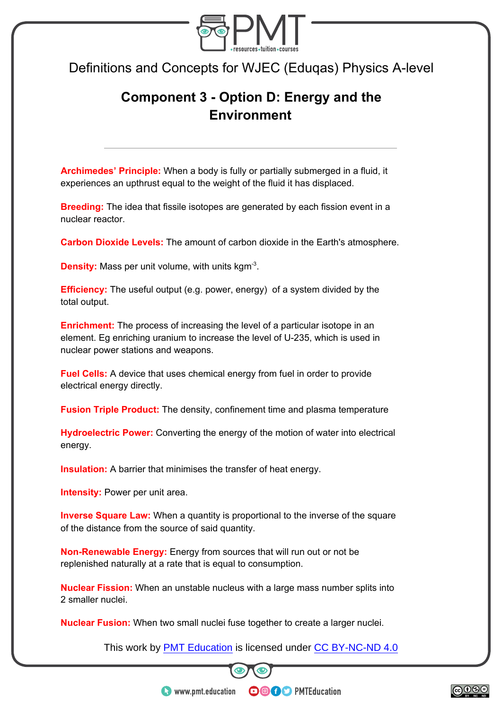

Definitions and Concepts for WJEC (Eduqas) Physics A-level

## **Component 3 - Option D: Energy and the Environment**

**Archimedes' Principle:** When a body is fully or partially submerged in a fluid, it experiences an upthrust equal to the weight of the fluid it has displaced.

**Breeding:** The idea that fissile isotopes are generated by each fission event in a nuclear reactor.

**Carbon Dioxide Levels:** The amount of carbon dioxide in the Earth's atmosphere.

**Density:** Mass per unit volume, with units kgm<sup>-3</sup>.

**Efficiency:** The useful output (e.g. power, energy) of a system divided by the total output.

**Enrichment:** The process of increasing the level of a particular isotope in an element. Eg enriching uranium to increase the level of U-235, which is used in nuclear power stations and weapons.

**Fuel Cells:** A device that uses chemical energy from fuel in order to provide electrical energy directly.

**Fusion Triple Product:** The density, confinement time and plasma temperature

**Hydroelectric Power:** Converting the energy of the motion of water into electrical energy.

**Insulation:** A barrier that minimises the transfer of heat energy.

**Intensity: Power per unit area.** 

**Inverse Square Law:** When a quantity is proportional to the inverse of the square of the distance from the source of said quantity.

**Non-Renewable Energy:** Energy from sources that will run out or not be replenished naturally at a rate that is equal to consumption.

**Nuclear Fission:** When an unstable nucleus with a large mass number splits into 2 smaller nuclei.

**Nuclear Fusion:** When two small nuclei fuse together to create a larger nuclei.

This work by **PMT Education** is licensed under CC BY-NC-ND 4.0



**OOOO** PMTEducation